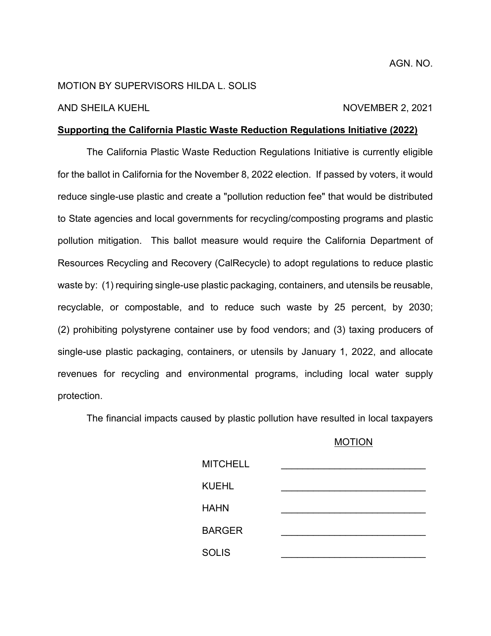# MOTION BY SUPERVISORS HILDA L. SOLIS

### AND SHEILA KUEHL NOVEMBER 2, 2021

# **Supporting the California Plastic Waste Reduction Regulations Initiative (2022)**

The California Plastic Waste Reduction Regulations Initiative is currently eligible for the ballot in California for the November 8, 2022 election. If passed by voters, it would reduce single-use plastic and create a "pollution reduction fee" that would be distributed to State agencies and local governments for recycling/composting programs and plastic pollution mitigation. This ballot measure would require the California Department of Resources Recycling and Recovery (CalRecycle) to adopt regulations to reduce plastic waste by: (1) requiring single-use plastic packaging, containers, and utensils be reusable, recyclable, or compostable, and to reduce such waste by 25 percent, by 2030; (2) prohibiting polystyrene container use by food vendors; and (3) taxing producers of single-use plastic packaging, containers, or utensils by January 1, 2022, and allocate revenues for recycling and environmental programs, including local water supply protection.

The financial impacts caused by plastic pollution have resulted in local taxpayers

# MOTION

| <b>MITCHELL</b> |  |
|-----------------|--|
| <b>KUEHL</b>    |  |
| <b>HAHN</b>     |  |
| <b>BARGER</b>   |  |
| <b>SOLIS</b>    |  |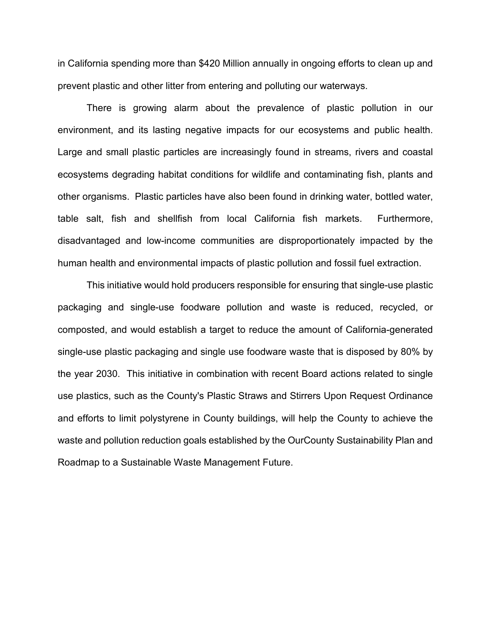in California spending more than \$420 Million annually in ongoing efforts to clean up and prevent plastic and other litter from entering and polluting our waterways.

There is growing alarm about the prevalence of plastic pollution in our environment, and its lasting negative impacts for our ecosystems and public health. Large and small plastic particles are increasingly found in streams, rivers and coastal ecosystems degrading habitat conditions for wildlife and contaminating fish, plants and other organisms. Plastic particles have also been found in drinking water, bottled water, table salt, fish and shellfish from local California fish markets. Furthermore, disadvantaged and low-income communities are disproportionately impacted by the human health and environmental impacts of plastic pollution and fossil fuel extraction.

This initiative would hold producers responsible for ensuring that single-use plastic packaging and single-use foodware pollution and waste is reduced, recycled, or composted, and would establish a target to reduce the amount of California-generated single-use plastic packaging and single use foodware waste that is disposed by 80% by the year 2030. This initiative in combination with recent Board actions related to single use plastics, such as the County's Plastic Straws and Stirrers Upon Request Ordinance and efforts to limit polystyrene in County buildings, will help the County to achieve the waste and pollution reduction goals established by the OurCounty Sustainability Plan and Roadmap to a Sustainable Waste Management Future.